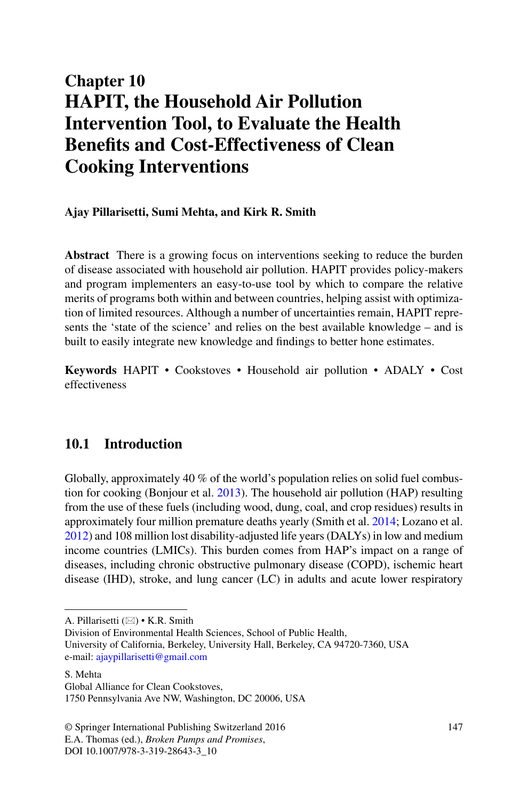# **Chapter 10 HAPIT, the Household Air Pollution Intervention Tool, to Evaluate the Health Benefits and Cost-Effectiveness of Clean Cooking Interventions**

#### **Ajay Pillarisetti, Sumi Mehta, and Kirk R. Smith**

**Abstract** There is a growing focus on interventions seeking to reduce the burden of disease associated with household air pollution. HAPIT provides policy-makers and program implementers an easy-to-use tool by which to compare the relative merits of programs both within and between countries, helping assist with optimization of limited resources. Although a number of uncertainties remain, HAPIT represents the 'state of the science' and relies on the best available knowledge – and is built to easily integrate new knowledge and findings to better hone estimates.

**Keywords** HAPIT • Cookstoves • Household air pollution • ADALY • Cost effectiveness

## **10.1 Introduction**

Globally, approximately 40 % of the world's population relies on solid fuel combustion for cooking (Bonjour et al. [2013\)](#page-19-0). The household air pollution (HAP) resulting from the use of these fuels (including wood, dung, coal, and crop residues) results in approximately four million premature deaths yearly (Smith et al. [2014](#page-22-0); Lozano et al. [2012](#page-20-0)) and 108 million lost disability-adjusted life years(DALYs) in low and medium income countries (LMICs). This burden comes from HAP's impact on a range of diseases, including chronic obstructive pulmonary disease (COPD), ischemic heart disease (IHD), stroke, and lung cancer (LC) in adults and acute lower respiratory

A. Pillarisetti  $(\boxtimes) \cdot K.R$ . Smith

Division of Environmental Health Sciences, School of Public Health, University of California, Berkeley, University Hall, Berkeley, CA 94720-7360, USA e-mail: [ajaypillarisetti@gmail.com](mailto:ajaypillarisetti@gmail.com)

S. Mehta

Global Alliance for Clean Cookstoves,

1750 Pennsylvania Ave NW, Washington, DC 20006, USA

<sup>©</sup> Springer International Publishing Switzerland 2016 147 E.A. Thomas (ed.), *Broken Pumps and Promises*, DOI 10.1007/978-3-319-28643-3\_10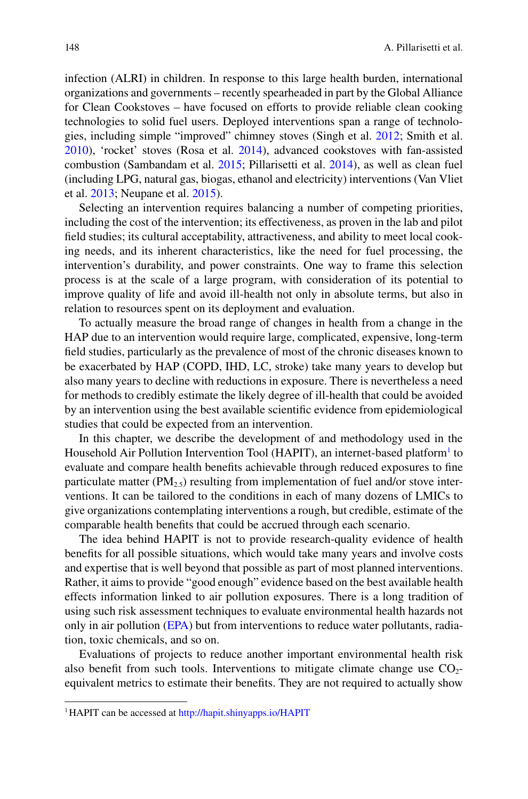infection (ALRI) in children. In response to this large health burden, international organizations and governments – recently spearheaded in part by the Global Alliance for Clean Cookstoves – have focused on efforts to provide reliable clean cooking technologies to solid fuel users. Deployed interventions span a range of technologies, including simple "improved" chimney stoves (Singh et al. [2012;](#page-21-0) Smith et al. [2010](#page-21-1)), 'rocket' stoves (Rosa et al. [2014\)](#page-21-2), advanced cookstoves with fan-assisted combustion (Sambandam et al. [2015;](#page-21-3) Pillarisetti et al. [2014](#page-21-4)), as well as clean fuel (including LPG, natural gas, biogas, ethanol and electricity) interventions (Van Vliet et al. [2013](#page-22-1); Neupane et al. [2015\)](#page-21-3).

Selecting an intervention requires balancing a number of competing priorities, including the cost of the intervention; its effectiveness, as proven in the lab and pilot field studies; its cultural acceptability, attractiveness, and ability to meet local cooking needs, and its inherent characteristics, like the need for fuel processing, the intervention's durability, and power constraints. One way to frame this selection process is at the scale of a large program, with consideration of its potential to improve quality of life and avoid ill-health not only in absolute terms, but also in relation to resources spent on its deployment and evaluation.

To actually measure the broad range of changes in health from a change in the HAP due to an intervention would require large, complicated, expensive, long-term field studies, particularly as the prevalence of most of the chronic diseases known to be exacerbated by HAP (COPD, IHD, LC, stroke) take many years to develop but also many years to decline with reductions in exposure. There is nevertheless a need for methods to credibly estimate the likely degree of ill-health that could be avoided by an intervention using the best available scientific evidence from epidemiological studies that could be expected from an intervention.

In this chapter, we describe the development of and methodology used in the Household Air Pollution Intervention Tool (HAPIT), an internet-based platform<sup>1</sup> to evaluate and compare health benefits achievable through reduced exposures to fine particulate matter ( $PM<sub>2.5</sub>$ ) resulting from implementation of fuel and/or stove interventions. It can be tailored to the conditions in each of many dozens of LMICs to give organizations contemplating interventions a rough, but credible, estimate of the comparable health benefits that could be accrued through each scenario.

The idea behind HAPIT is not to provide research-quality evidence of health benefits for all possible situations, which would take many years and involve costs and expertise that is well beyond that possible as part of most planned interventions. Rather, it aims to provide "good enough" evidence based on the best available health effects information linked to air pollution exposures. There is a long tradition of using such risk assessment techniques to evaluate environmental health hazards not only in air pollution ([EPA](#page-20-1)) but from interventions to reduce water pollutants, radiation, toxic chemicals, and so on.

Evaluations of projects to reduce another important environmental health risk also benefit from such tools. Interventions to mitigate climate change use  $CO<sub>2</sub>$ equivalent metrics to estimate their benefits. They are not required to actually show

<span id="page-1-0"></span><sup>&</sup>lt;sup>1</sup>HAPIT can be accessed at <http://hapit.shinyapps.io/HAPIT>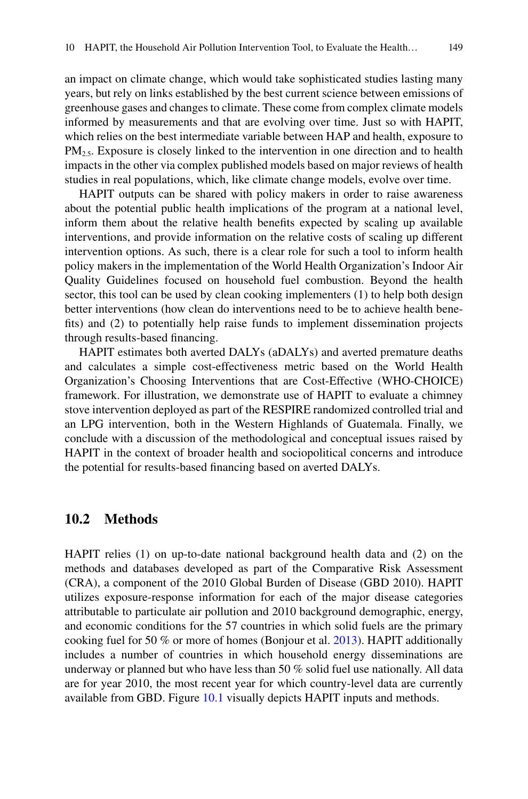an impact on climate change, which would take sophisticated studies lasting many years, but rely on links established by the best current science between emissions of greenhouse gases and changes to climate. These come from complex climate models informed by measurements and that are evolving over time. Just so with HAPIT, which relies on the best intermediate variable between HAP and health, exposure to  $PM<sub>2.5</sub>$ . Exposure is closely linked to the intervention in one direction and to health impacts in the other via complex published models based on major reviews of health studies in real populations, which, like climate change models, evolve over time.

HAPIT outputs can be shared with policy makers in order to raise awareness about the potential public health implications of the program at a national level, inform them about the relative health benefits expected by scaling up available interventions, and provide information on the relative costs of scaling up different intervention options. As such, there is a clear role for such a tool to inform health policy makers in the implementation of the World Health Organization's Indoor Air Quality Guidelines focused on household fuel combustion. Beyond the health sector, this tool can be used by clean cooking implementers (1) to help both design better interventions (how clean do interventions need to be to achieve health benefits) and (2) to potentially help raise funds to implement dissemination projects through results-based financing.

HAPIT estimates both averted DALYs (aDALYs) and averted premature deaths and calculates a simple cost-effectiveness metric based on the World Health Organization's Choosing Interventions that are Cost-Effective (WHO-CHOICE) framework. For illustration, we demonstrate use of HAPIT to evaluate a chimney stove intervention deployed as part of the RESPIRE randomized controlled trial and an LPG intervention, both in the Western Highlands of Guatemala. Finally, we conclude with a discussion of the methodological and conceptual issues raised by HAPIT in the context of broader health and sociopolitical concerns and introduce the potential for results-based financing based on averted DALYs.

#### **10.2 Methods**

HAPIT relies (1) on up-to-date national background health data and (2) on the methods and databases developed as part of the Comparative Risk Assessment (CRA), a component of the 2010 Global Burden of Disease (GBD 2010). HAPIT utilizes exposure-response information for each of the major disease categories attributable to particulate air pollution and 2010 background demographic, energy, and economic conditions for the 57 countries in which solid fuels are the primary cooking fuel for 50 % or more of homes (Bonjour et al. [2013\)](#page-19-0). HAPIT additionally includes a number of countries in which household energy disseminations are underway or planned but who have less than 50 % solid fuel use nationally. All data are for year 2010, the most recent year for which country-level data are currently available from GBD. Figure [10.1](#page-3-0) visually depicts HAPIT inputs and methods.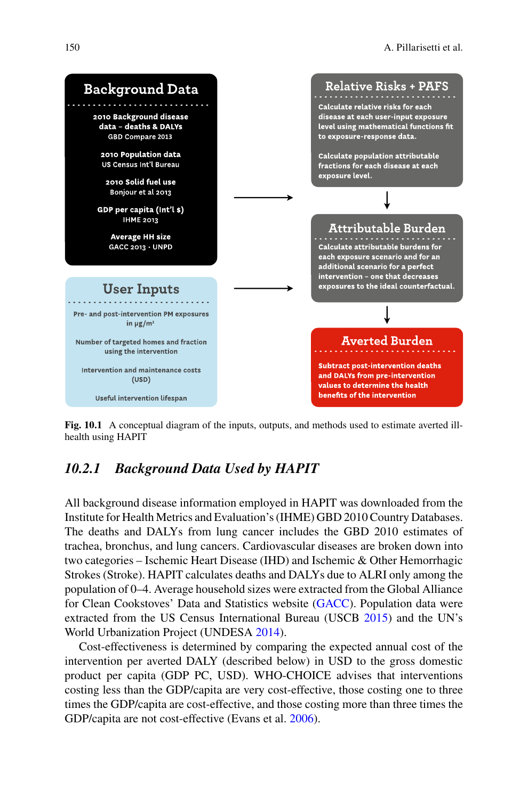<span id="page-3-0"></span>

**Fig. 10.1** A conceptual diagram of the inputs, outputs, and methods used to estimate averted illhealth using HAPIT

# *10.2.1 Background Data Used by HAPIT*

All background disease information employed in HAPIT was downloaded from the Institute for Health Metrics and Evaluation's(IHME) GBD 2010 Country Databases. The deaths and DALYs from lung cancer includes the GBD 2010 estimates of trachea, bronchus, and lung cancers. Cardiovascular diseases are broken down into two categories – Ischemic Heart Disease (IHD) and Ischemic & Other Hemorrhagic Strokes (Stroke). HAPIT calculates deaths and DALYs due to ALRI only among the population of 0–4. Average household sizes were extracted from the Global Alliance for Clean Cookstoves' Data and Statistics website ([GACC](#page-20-2)). Population data were extracted from the US Census International Bureau (USCB [2015](#page-22-2)) and the UN's World Urbanization Project (UNDESA [2014\)](#page-22-3).

Cost-effectiveness is determined by comparing the expected annual cost of the intervention per averted DALY (described below) in USD to the gross domestic product per capita (GDP PC, USD). WHO-CHOICE advises that interventions costing less than the GDP/capita are very cost-effective, those costing one to three times the GDP/capita are cost-effective, and those costing more than three times the GDP/capita are not cost-effective (Evans et al. [2006](#page-20-3)).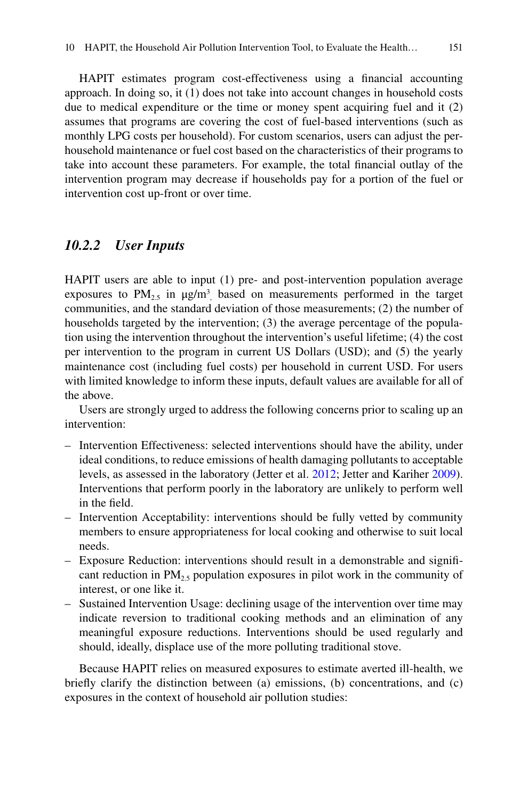HAPIT estimates program cost-effectiveness using a financial accounting approach. In doing so, it (1) does not take into account changes in household costs due to medical expenditure or the time or money spent acquiring fuel and it (2) assumes that programs are covering the cost of fuel-based interventions (such as monthly LPG costs per household). For custom scenarios, users can adjust the perhousehold maintenance or fuel cost based on the characteristics of their programs to take into account these parameters. For example, the total financial outlay of the intervention program may decrease if households pay for a portion of the fuel or intervention cost up-front or over time.

#### *10.2.2 User Inputs*

HAPIT users are able to input (1) pre- and post-intervention population average exposures to  $PM_{2.5}$  in  $\mu$ g/m<sup>3</sup>, based on measurements performed in the target communities, and the standard deviation of those measurements; (2) the number of households targeted by the intervention; (3) the average percentage of the population using the intervention throughout the intervention's useful lifetime; (4) the cost per intervention to the program in current US Dollars (USD); and (5) the yearly maintenance cost (including fuel costs) per household in current USD. For users with limited knowledge to inform these inputs, default values are available for all of the above.

Users are strongly urged to address the following concerns prior to scaling up an intervention:

- Intervention Effectiveness: selected interventions should have the ability, under ideal conditions, to reduce emissions of health damaging pollutants to acceptable levels, as assessed in the laboratory (Jetter et al. [2012](#page-20-4); Jetter and Kariher [2009](#page-20-5)). Interventions that perform poorly in the laboratory are unlikely to perform well in the field.
- Intervention Acceptability: interventions should be fully vetted by community members to ensure appropriateness for local cooking and otherwise to suit local needs.
- Exposure Reduction: interventions should result in a demonstrable and significant reduction in  $PM_{2.5}$  population exposures in pilot work in the community of interest, or one like it.
- Sustained Intervention Usage: declining usage of the intervention over time may indicate reversion to traditional cooking methods and an elimination of any meaningful exposure reductions. Interventions should be used regularly and should, ideally, displace use of the more polluting traditional stove.

Because HAPIT relies on measured exposures to estimate averted ill-health, we briefly clarify the distinction between (a) emissions, (b) concentrations, and (c) exposures in the context of household air pollution studies: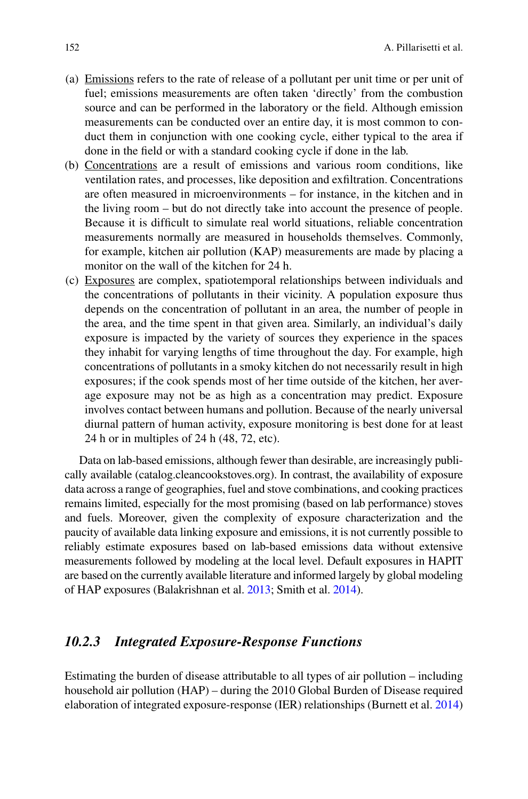- (a) Emissions refers to the rate of release of a pollutant per unit time or per unit of fuel; emissions measurements are often taken 'directly' from the combustion source and can be performed in the laboratory or the field. Although emission measurements can be conducted over an entire day, it is most common to conduct them in conjunction with one cooking cycle, either typical to the area if done in the field or with a standard cooking cycle if done in the lab.
- (b) Concentrations are a result of emissions and various room conditions, like ventilation rates, and processes, like deposition and exfiltration. Concentrations are often measured in microenvironments – for instance, in the kitchen and in the living room – but do not directly take into account the presence of people. Because it is difficult to simulate real world situations, reliable concentration measurements normally are measured in households themselves. Commonly, for example, kitchen air pollution (KAP) measurements are made by placing a monitor on the wall of the kitchen for 24 h.
- (c) Exposures are complex, spatiotemporal relationships between individuals and the concentrations of pollutants in their vicinity. A population exposure thus depends on the concentration of pollutant in an area, the number of people in the area, and the time spent in that given area. Similarly, an individual's daily exposure is impacted by the variety of sources they experience in the spaces they inhabit for varying lengths of time throughout the day. For example, high concentrations of pollutants in a smoky kitchen do not necessarily result in high exposures; if the cook spends most of her time outside of the kitchen, her average exposure may not be as high as a concentration may predict. Exposure involves contact between humans and pollution. Because of the nearly universal diurnal pattern of human activity, exposure monitoring is best done for at least 24 h or in multiples of 24 h (48, 72, etc).

Data on lab-based emissions, although fewer than desirable, are increasingly publically available (catalog.cleancookstoves.org). In contrast, the availability of exposure data across a range of geographies, fuel and stove combinations, and cooking practices remains limited, especially for the most promising (based on lab performance) stoves and fuels. Moreover, given the complexity of exposure characterization and the paucity of available data linking exposure and emissions, it is not currently possible to reliably estimate exposures based on lab-based emissions data without extensive measurements followed by modeling at the local level. Default exposures in HAPIT are based on the currently available literature and informed largely by global modeling of HAP exposures (Balakrishnan et al. [2013](#page-19-1); Smith et al. [2014\)](#page-22-0).

### *10.2.3 Integrated Exposure-Response Functions*

Estimating the burden of disease attributable to all types of air pollution – including household air pollution (HAP) – during the 2010 Global Burden of Disease required elaboration of integrated exposure-response (IER) relationships (Burnett et al. [2014](#page-19-2))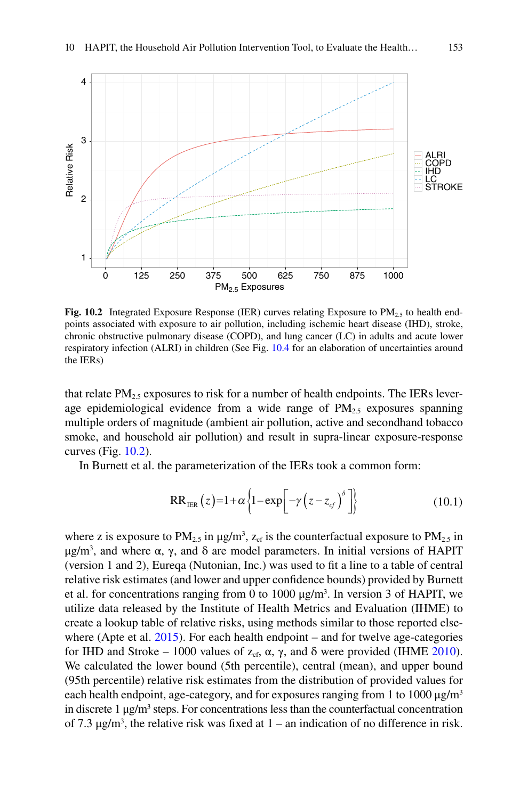<span id="page-6-0"></span>

**Fig. 10.2** Integrated Exposure Response (IER) curves relating Exposure to  $PM_{2.5}$  to health endpoints associated with exposure to air pollution, including ischemic heart disease (IHD), stroke, chronic obstructive pulmonary disease (COPD), and lung cancer (LC) in adults and acute lower respiratory infection (ALRI) in children (See Fig. [10.4](#page-11-0) for an elaboration of uncertainties around the IERs)

that relate  $PM_{2.5}$  exposures to risk for a number of health endpoints. The IERs leverage epidemiological evidence from a wide range of  $PM_{2.5}$  exposures spanning multiple orders of magnitude (ambient air pollution, active and secondhand tobacco smoke, and household air pollution) and result in supra-linear exposure-response curves (Fig. [10.2\)](#page-6-0).

In Burnett et al. the parameterization of the IERs took a common form:

$$
RR_{\text{IER}}(z) = 1 + \alpha \left\{ 1 - \exp\left[ -\gamma \left( z - z_{cf} \right)^{\delta} \right] \right\} \tag{10.1}
$$

where z is exposure to  $PM_{2.5}$  in  $\mu g/m^3$ ,  $z_{cf}$  is the counterfactual exposure to  $PM_{2.5}$  in μg/m<sup>3</sup>, and where α, γ, and δ are model parameters. In initial versions of HAPIT (version 1 and 2), Eureqa (Nutonian, Inc.) was used to fit a line to a table of central relative risk estimates (and lower and upper confidence bounds) provided by Burnett et al. for concentrations ranging from 0 to 1000  $\mu$ g/m<sup>3</sup>. In version 3 of HAPIT, we utilize data released by the Institute of Health Metrics and Evaluation (IHME) to create a lookup table of relative risks, using methods similar to those reported elsewhere (Apte et al.  $2015$ ). For each health endpoint – and for twelve age-categories for IHD and Stroke – 1000 values of  $z_{cf}$ , α, γ, and δ were provided (IHME [2010\)](#page-20-6). We calculated the lower bound (5th percentile), central (mean), and upper bound (95th percentile) relative risk estimates from the distribution of provided values for each health endpoint, age-category, and for exposures ranging from 1 to 1000  $\mu$ g/m<sup>3</sup> in discrete  $1 \mu g/m^3$  steps. For concentrations less than the counterfactual concentration of 7.3  $\mu$ g/m<sup>3</sup>, the relative risk was fixed at 1 – an indication of no difference in risk.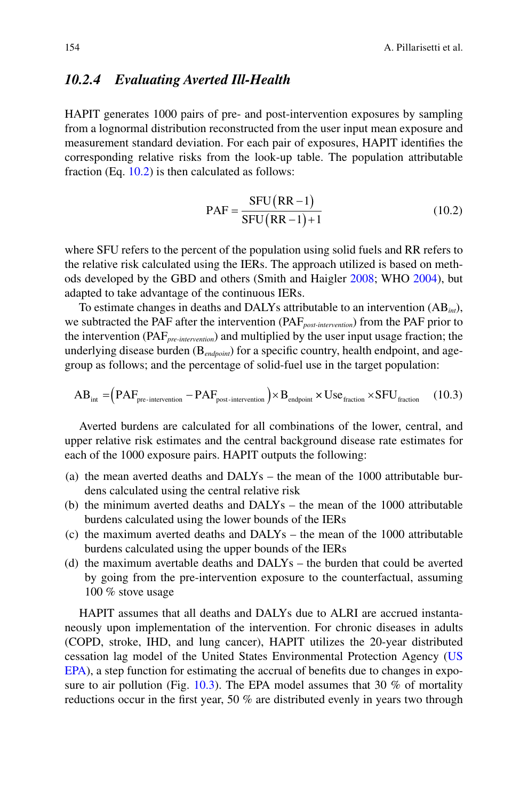#### *10.2.4 Evaluating Averted Ill-Health*

HAPIT generates 1000 pairs of pre- and post-intervention exposures by sampling from a lognormal distribution reconstructed from the user input mean exposure and measurement standard deviation. For each pair of exposures, HAPIT identifies the corresponding relative risks from the look-up table. The population attributable fraction (Eq.  $10.2$ ) is then calculated as follows:

$$
PAF = \frac{SFU(RR - 1)}{SFU(RR - 1) + 1}
$$
\n(10.2)

<span id="page-7-0"></span>where SFU refers to the percent of the population using solid fuels and RR refers to the relative risk calculated using the IERs. The approach utilized is based on methods developed by the GBD and others (Smith and Haigler [2008](#page-21-5); WHO [2004](#page-22-4)), but adapted to take advantage of the continuous IERs.

To estimate changes in deaths and DALYs attributable to an intervention (AB*int*), we subtracted the PAF after the intervention (PAF*post-intervention*) from the PAF prior to the intervention (PAF*pre-intervention*) and multiplied by the user input usage fraction; the underlying disease burden (B*endpoint*) for a specific country, health endpoint, and agegroup as follows; and the percentage of solid-fuel use in the target population:

$$
AB_{int} = (PAF_{pre-intervention} - PAF_{post-intervention}) \times B_{endpoint} \times Use_{fraction} \times SFU_{fraction}
$$
 (10.3)

Averted burdens are calculated for all combinations of the lower, central, and upper relative risk estimates and the central background disease rate estimates for each of the 1000 exposure pairs. HAPIT outputs the following:

- (a) the mean averted deaths and DALYs the mean of the 1000 attributable burdens calculated using the central relative risk
- (b) the minimum averted deaths and DALYs the mean of the 1000 attributable burdens calculated using the lower bounds of the IERs
- (c) the maximum averted deaths and DALYs the mean of the 1000 attributable burdens calculated using the upper bounds of the IERs
- (d) the maximum avertable deaths and DALYs the burden that could be averted by going from the pre-intervention exposure to the counterfactual, assuming 100 % stove usage

HAPIT assumes that all deaths and DALYs due to ALRI are accrued instantaneously upon implementation of the intervention. For chronic diseases in adults (COPD, stroke, IHD, and lung cancer), HAPIT utilizes the 20-year distributed cessation lag model of the United States Environmental Protection Agency ([US](#page-20-1)  [EPA](#page-20-1)), a step function for estimating the accrual of benefits due to changes in expo-sure to air pollution (Fig. [10.3](#page-8-0)). The EPA model assumes that 30  $\%$  of mortality reductions occur in the first year, 50 % are distributed evenly in years two through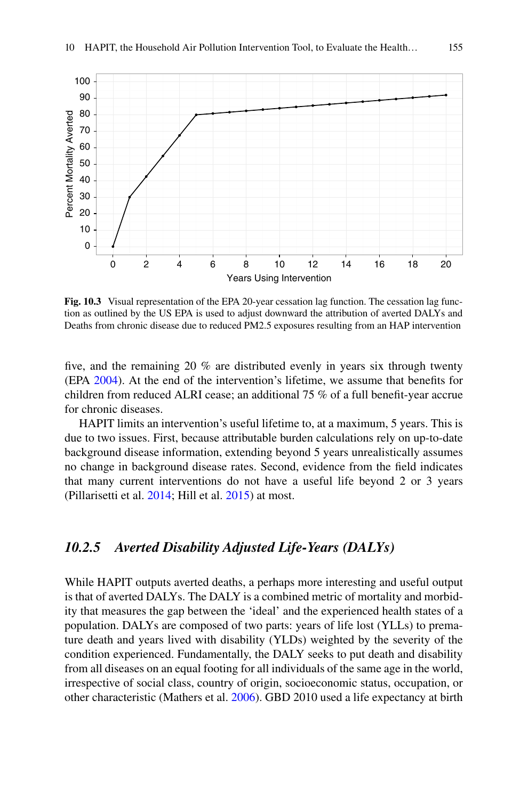<span id="page-8-0"></span>

**Fig. 10.3** Visual representation of the EPA 20-year cessation lag function. The cessation lag function as outlined by the US EPA is used to adjust downward the attribution of averted DALYs and Deaths from chronic disease due to reduced PM2.5 exposures resulting from an HAP intervention

five, and the remaining 20 % are distributed evenly in years six through twenty (EPA [2004](#page-20-7)). At the end of the intervention's lifetime, we assume that benefits for children from reduced ALRI cease; an additional 75 % of a full benefit-year accrue for chronic diseases.

HAPIT limits an intervention's useful lifetime to, at a maximum, 5 years. This is due to two issues. First, because attributable burden calculations rely on up-to-date background disease information, extending beyond 5 years unrealistically assumes no change in background disease rates. Second, evidence from the field indicates that many current interventions do not have a useful life beyond 2 or 3 years (Pillarisetti et al. [2014;](#page-21-4) Hill et al. [2015\)](#page-20-8) at most.

#### *10.2.5 Averted Disability Adjusted Life-Years (DALYs)*

While HAPIT outputs averted deaths, a perhaps more interesting and useful output is that of averted DALYs. The DALY is a combined metric of mortality and morbidity that measures the gap between the 'ideal' and the experienced health states of a population. DALYs are composed of two parts: years of life lost (YLLs) to premature death and years lived with disability (YLDs) weighted by the severity of the condition experienced. Fundamentally, the DALY seeks to put death and disability from all diseases on an equal footing for all individuals of the same age in the world, irrespective of social class, country of origin, socioeconomic status, occupation, or other characteristic (Mathers et al. [2006\)](#page-21-6). GBD 2010 used a life expectancy at birth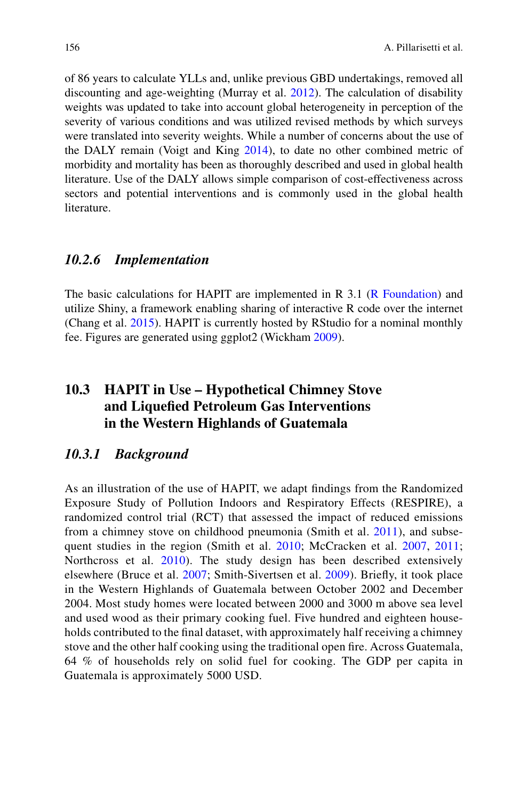of 86 years to calculate YLLs and, unlike previous GBD undertakings, removed all discounting and age-weighting (Murray et al. [2012\)](#page-21-7). The calculation of disability weights was updated to take into account global heterogeneity in perception of the severity of various conditions and was utilized revised methods by which surveys were translated into severity weights. While a number of concerns about the use of the DALY remain (Voigt and King [2014](#page-22-5)), to date no other combined metric of morbidity and mortality has been as thoroughly described and used in global health literature. Use of the DALY allows simple comparison of cost-effectiveness across sectors and potential interventions and is commonly used in the global health literature.

#### *10.2.6 Implementation*

The basic calculations for HAPIT are implemented in R 3.1 (R [Foundation](#page-21-8)) and utilize Shiny, a framework enabling sharing of interactive R code over the internet (Chang et al. [2015](#page-20-9)). HAPIT is currently hosted by RStudio for a nominal monthly fee. Figures are generated using ggplot2 (Wickham [2009](#page-22-6)).

# **10.3 HAPIT in Use – Hypothetical Chimney Stove and Liquefied Petroleum Gas Interventions in the Western Highlands of Guatemala**

#### *10.3.1 Background*

As an illustration of the use of HAPIT, we adapt findings from the Randomized Exposure Study of Pollution Indoors and Respiratory Effects (RESPIRE), a randomized control trial (RCT) that assessed the impact of reduced emissions from a chimney stove on childhood pneumonia (Smith et al. [2011\)](#page-21-9), and subsequent studies in the region (Smith et al. [2010](#page-21-1); McCracken et al. [2007,](#page-21-10) [2011;](#page-21-11) Northcross et al. [2010\)](#page-21-12). The study design has been described extensively elsewhere (Bruce et al. [2007;](#page-19-4) Smith-Sivertsen et al. [2009](#page-22-7)). Briefly, it took place in the Western Highlands of Guatemala between October 2002 and December 2004. Most study homes were located between 2000 and 3000 m above sea level and used wood as their primary cooking fuel. Five hundred and eighteen households contributed to the final dataset, with approximately half receiving a chimney stove and the other half cooking using the traditional open fire. Across Guatemala, 64 % of households rely on solid fuel for cooking. The GDP per capita in Guatemala is approximately 5000 USD.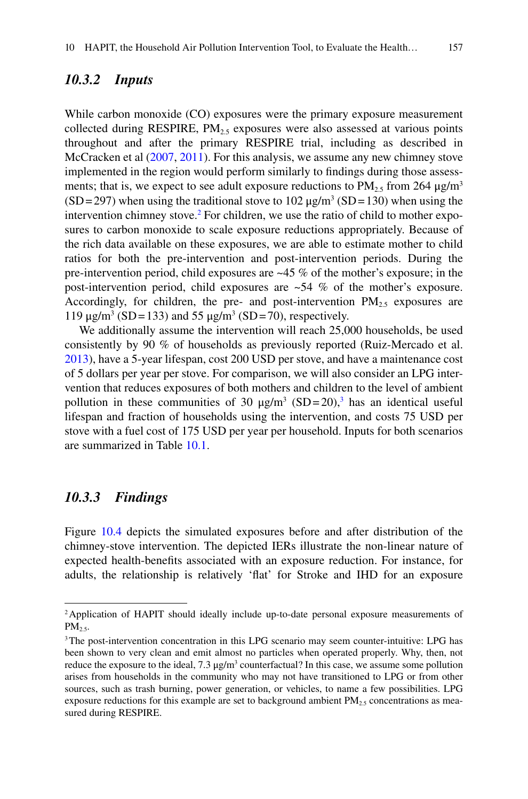#### *10.3.2 Inputs*

While carbon monoxide (CO) exposures were the primary exposure measurement collected during RESPIRE,  $PM<sub>2.5</sub>$  exposures were also assessed at various points throughout and after the primary RESPIRE trial, including as described in McCracken et al ([2007,](#page-21-10) [2011\)](#page-21-11). For this analysis, we assume any new chimney stove implemented in the region would perform similarly to findings during those assessments; that is, we expect to see adult exposure reductions to  $PM_{2.5}$  from 264  $\mu$ g/m<sup>3</sup>  $(SD=297)$  when using the traditional stove to 102  $\mu$ g/m<sup>3</sup> (SD = 130) when using the intervention chimney stove.<sup>2</sup> For children, we use the ratio of child to mother exposures to carbon monoxide to scale exposure reductions appropriately. Because of the rich data available on these exposures, we are able to estimate mother to child ratios for both the pre-intervention and post-intervention periods. During the pre-intervention period, child exposures are ~45 % of the mother's exposure; in the post-intervention period, child exposures are ~54 % of the mother's exposure. Accordingly, for children, the pre- and post-intervention  $PM_{2.5}$  exposures are 119 μg/m<sup>3</sup> (SD = 133) and 55 μg/m<sup>3</sup> (SD = 70), respectively.

We additionally assume the intervention will reach 25,000 households, be used consistently by 90 % of households as previously reported (Ruiz-Mercado et al. [2013](#page-21-13)), have a 5-year lifespan, cost 200 USD per stove, and have a maintenance cost of 5 dollars per year per stove. For comparison, we will also consider an LPG intervention that reduces exposures of both mothers and children to the level of ambient pollution in these communities of [3](#page-10-1)0  $\mu$ g/m<sup>3</sup> (SD=20),<sup>3</sup> has an identical useful lifespan and fraction of households using the intervention, and costs 75 USD per stove with a fuel cost of 175 USD per year per household. Inputs for both scenarios are summarized in Table [10.1](#page-11-1).

#### *10.3.3 Findings*

Figure [10.4](#page-11-0) depicts the simulated exposures before and after distribution of the chimney-stove intervention. The depicted IERs illustrate the non-linear nature of expected health-benefits associated with an exposure reduction. For instance, for adults, the relationship is relatively 'flat' for Stroke and IHD for an exposure

<span id="page-10-0"></span><sup>2</sup>Application of HAPIT should ideally include up-to-date personal exposure measurements of  $PM_{2.5}$ .

<span id="page-10-1"></span><sup>&</sup>lt;sup>3</sup>The post-intervention concentration in this LPG scenario may seem counter-intuitive: LPG has been shown to very clean and emit almost no particles when operated properly. Why, then, not reduce the exposure to the ideal,  $7.3 \mu g/m<sup>3</sup>$  counterfactual? In this case, we assume some pollution arises from households in the community who may not have transitioned to LPG or from other sources, such as trash burning, power generation, or vehicles, to name a few possibilities. LPG exposure reductions for this example are set to background ambient  $PM_{2,5}$  concentrations as measured during RESPIRE.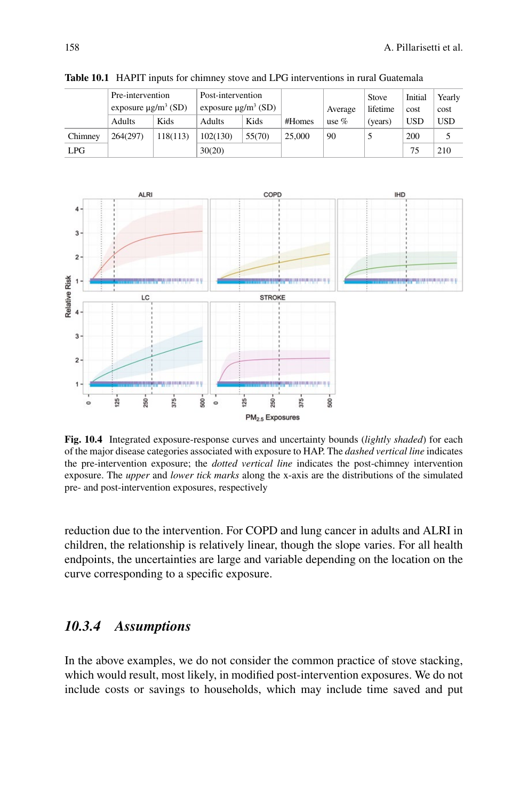|         | Pre-intervention<br>exposure $\mu$ g/m <sup>3</sup> (SD) |          | Post-intervention<br>exposure $\mu$ g/m <sup>3</sup> (SD) |        |        | Average | Stove<br>lifetime | Initial<br>cost | Yearly<br>cost |
|---------|----------------------------------------------------------|----------|-----------------------------------------------------------|--------|--------|---------|-------------------|-----------------|----------------|
|         | Adults                                                   | Kids     | Adults                                                    | Kids   | #Homes | use $%$ | (years)           | <b>USD</b>      | <b>USD</b>     |
| Chimney | 264(297)                                                 | 118(113) | 102(130)                                                  | 55(70) | 25,000 | 90      |                   | 200             |                |
| LPG     |                                                          |          | 30(20)                                                    |        |        |         |                   | 75              | 210            |

<span id="page-11-1"></span>**Table 10.1** HAPIT inputs for chimney stove and LPG interventions in rural Guatemala

<span id="page-11-0"></span>

**Fig. 10.4** Integrated exposure-response curves and uncertainty bounds (*lightly shaded*) for each of the major disease categories associated with exposure to HAP. The *dashed vertical line* indicates the pre-intervention exposure; the *dotted vertical line* indicates the post-chimney intervention exposure. The *upper* and *lower tick marks* along the x-axis are the distributions of the simulated pre- and post-intervention exposures, respectively

reduction due to the intervention. For COPD and lung cancer in adults and ALRI in children, the relationship is relatively linear, though the slope varies. For all health endpoints, the uncertainties are large and variable depending on the location on the curve corresponding to a specific exposure.

# *10.3.4 Assumptions*

In the above examples, we do not consider the common practice of stove stacking, which would result, most likely, in modified post-intervention exposures. We do not include costs or savings to households, which may include time saved and put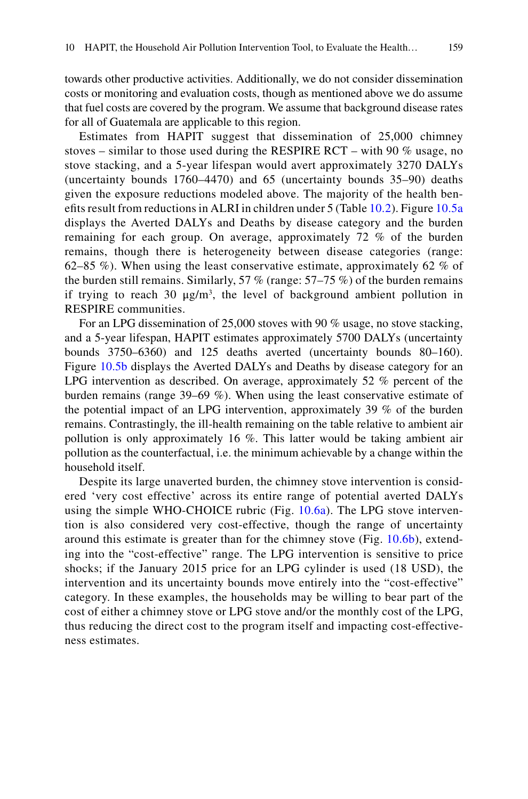towards other productive activities. Additionally, we do not consider dissemination costs or monitoring and evaluation costs, though as mentioned above we do assume that fuel costs are covered by the program. We assume that background disease rates for all of Guatemala are applicable to this region.

Estimates from HAPIT suggest that dissemination of 25,000 chimney stoves – similar to those used during the RESPIRE RCT – with 90 % usage, no stove stacking, and a 5-year lifespan would avert approximately 3270 DALYs (uncertainty bounds 1760–4470) and 65 (uncertainty bounds 35–90) deaths given the exposure reductions modeled above. The majority of the health ben-efits result from reductions in ALRI in children under 5 (Table [10.2\)](#page-13-0). Figure [10.5a](#page-14-0) displays the Averted DALYs and Deaths by disease category and the burden remaining for each group. On average, approximately 72 % of the burden remains, though there is heterogeneity between disease categories (range: 62–85 %). When using the least conservative estimate, approximately 62 % of the burden still remains. Similarly, 57 % (range:  $57-75$  %) of the burden remains if trying to reach 30  $\mu$ g/m<sup>3</sup>, the level of background ambient pollution in RESPIRE communities.

For an LPG dissemination of 25,000 stoves with 90 % usage, no stove stacking, and a 5-year lifespan, HAPIT estimates approximately 5700 DALYs (uncertainty bounds 3750–6360) and 125 deaths averted (uncertainty bounds 80–160). Figure [10.5b](#page-14-0) displays the Averted DALYs and Deaths by disease category for an LPG intervention as described. On average, approximately 52 % percent of the burden remains (range 39–69 %). When using the least conservative estimate of the potential impact of an LPG intervention, approximately 39 % of the burden remains. Contrastingly, the ill-health remaining on the table relative to ambient air pollution is only approximately 16 %. This latter would be taking ambient air pollution as the counterfactual, i.e. the minimum achievable by a change within the household itself.

Despite its large unaverted burden, the chimney stove intervention is considered 'very cost effective' across its entire range of potential averted DALYs using the simple WHO-CHOICE rubric (Fig. [10.6a](#page-15-0)). The LPG stove intervention is also considered very cost-effective, though the range of uncertainty around this estimate is greater than for the chimney stove (Fig. [10.6b](#page-15-0)), extending into the "cost-effective" range. The LPG intervention is sensitive to price shocks; if the January 2015 price for an LPG cylinder is used (18 USD), the intervention and its uncertainty bounds move entirely into the "cost-effective" category. In these examples, the households may be willing to bear part of the cost of either a chimney stove or LPG stove and/or the monthly cost of the LPG, thus reducing the direct cost to the program itself and impacting cost-effectiveness estimates.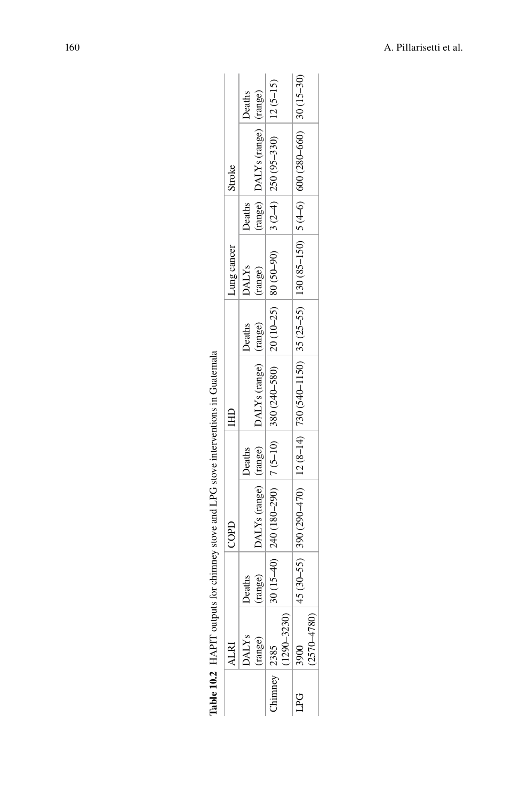|                                                                                     | Stroke<br>Lung cancer<br>$\mathbb{H}$ | (range) DALYs (range) (range)<br>Deaths<br>Deaths<br><b>DALYs</b><br>Deaths<br>Deaths | (range)<br>DALYs (range) (range) DALYs (range) (range) |        |           | $45(30-55)$   390 (280-660)   30(3-14)   72(3-14)   73(25-55)   35(25-55)   310(35-150)   5 (4-6)   600(280-660)   30(15-20) |           |
|-------------------------------------------------------------------------------------|---------------------------------------|---------------------------------------------------------------------------------------|--------------------------------------------------------|--------|-----------|------------------------------------------------------------------------------------------------------------------------------|-----------|
|                                                                                     |                                       |                                                                                       |                                                        |        |           |                                                                                                                              |           |
|                                                                                     |                                       |                                                                                       |                                                        |        |           |                                                                                                                              |           |
|                                                                                     |                                       |                                                                                       |                                                        |        |           |                                                                                                                              |           |
| Table 10.2 HAPIT outputs for chimney stove and LPG stove interventions in Guatemala |                                       |                                                                                       |                                                        |        |           |                                                                                                                              |           |
|                                                                                     | COPD                                  |                                                                                       |                                                        |        |           |                                                                                                                              |           |
|                                                                                     |                                       | Deaths                                                                                | (range)                                                |        |           |                                                                                                                              |           |
|                                                                                     | LRI                                   | <b>NTNS</b>                                                                           | (range)                                                | 2385   | 1290-3230 | 3900                                                                                                                         | 2570-4780 |
|                                                                                     |                                       |                                                                                       |                                                        | himney |           | <b>DG</b>                                                                                                                    |           |

<span id="page-13-0"></span>

| I                                                                                   |
|-------------------------------------------------------------------------------------|
|                                                                                     |
| ۱,                                                                                  |
|                                                                                     |
|                                                                                     |
| $\frac{1}{1}$                                                                       |
| Ì                                                                                   |
| ֧֧֦֧֪֖ׅ֧֪ׅ֛֚֚֞֝֟֝֬֝֝֬֝֬֝֬֝֬֝֬֝֬֝֬֝֬֝֬֝֬֝֟֝֬֝֬֝֬֝֬֝֬֝֬֝֬֝֬֝֬֝֬֝֝֬֝֬֝֬֝֬֝֬֝֬֝֝֬֝֝֬֝֝֝ |
|                                                                                     |
|                                                                                     |
|                                                                                     |
| <br> <br> <br> <br> <br>$\frac{1}{2}$                                               |
|                                                                                     |
| I                                                                                   |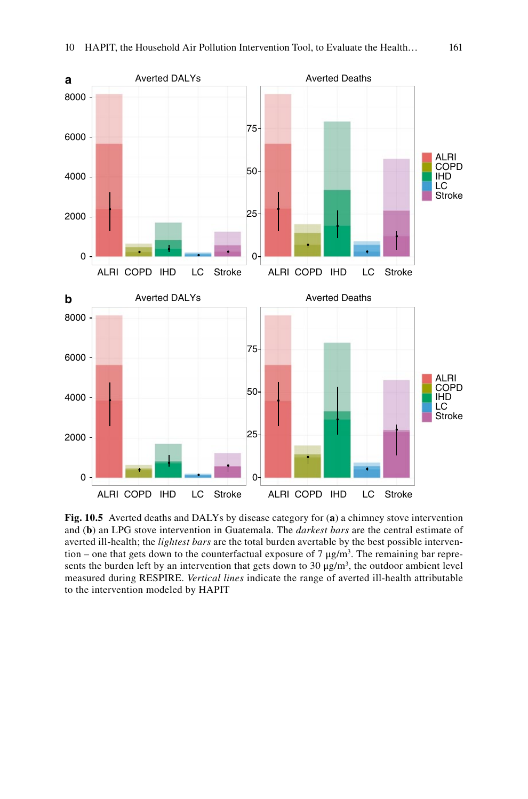<span id="page-14-0"></span>

**Fig. 10.5** Averted deaths and DALYs by disease category for (**a**) a chimney stove intervention and (**b**) an LPG stove intervention in Guatemala. The *darkest bars* are the central estimate of averted ill-health; the *lightest bars* are the total burden avertable by the best possible intervention – one that gets down to the counterfactual exposure of  $7 \mu g/m<sup>3</sup>$ . The remaining bar represents the burden left by an intervention that gets down to 30  $\mu$ g/m<sup>3</sup>, the outdoor ambient level measured during RESPIRE. *Vertical lines* indicate the range of averted ill-health attributable to the intervention modeled by HAPIT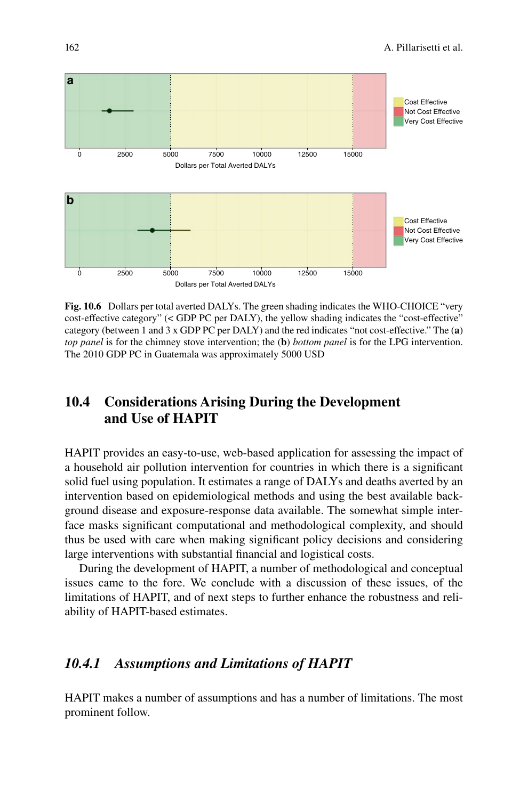<span id="page-15-0"></span>

**Fig. 10.6** Dollars per total averted DALYs. The green shading indicates the WHO-CHOICE "very cost-effective category" (< GDP PC per DALY), the yellow shading indicates the "cost-effective" category (between 1 and 3 x GDP PC per DALY) and the red indicates "not cost-effective." The (**a**) *top panel* is for the chimney stove intervention; the (**b**) *bottom panel* is for the LPG intervention. The 2010 GDP PC in Guatemala was approximately 5000 USD

# **10.4 Considerations Arising During the Development and Use of HAPIT**

HAPIT provides an easy-to-use, web-based application for assessing the impact of a household air pollution intervention for countries in which there is a significant solid fuel using population. It estimates a range of DALYs and deaths averted by an intervention based on epidemiological methods and using the best available background disease and exposure-response data available. The somewhat simple interface masks significant computational and methodological complexity, and should thus be used with care when making significant policy decisions and considering large interventions with substantial financial and logistical costs.

During the development of HAPIT, a number of methodological and conceptual issues came to the fore. We conclude with a discussion of these issues, of the limitations of HAPIT, and of next steps to further enhance the robustness and reliability of HAPIT-based estimates.

#### *10.4.1 Assumptions and Limitations of HAPIT*

HAPIT makes a number of assumptions and has a number of limitations. The most prominent follow.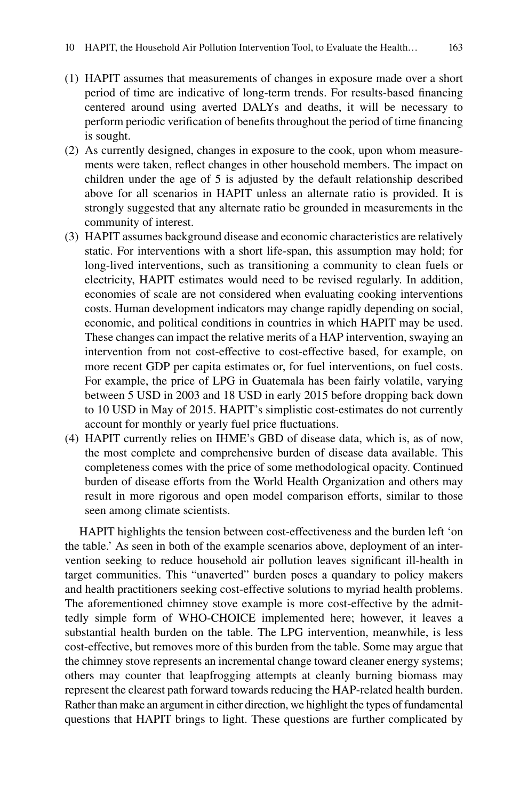- (1) HAPIT assumes that measurements of changes in exposure made over a short period of time are indicative of long-term trends. For results-based financing centered around using averted DALYs and deaths, it will be necessary to perform periodic verification of benefits throughout the period of time financing is sought.
- (2) As currently designed, changes in exposure to the cook, upon whom measurements were taken, reflect changes in other household members. The impact on children under the age of 5 is adjusted by the default relationship described above for all scenarios in HAPIT unless an alternate ratio is provided. It is strongly suggested that any alternate ratio be grounded in measurements in the community of interest.
- (3) HAPIT assumes background disease and economic characteristics are relatively static. For interventions with a short life-span, this assumption may hold; for long-lived interventions, such as transitioning a community to clean fuels or electricity, HAPIT estimates would need to be revised regularly. In addition, economies of scale are not considered when evaluating cooking interventions costs. Human development indicators may change rapidly depending on social, economic, and political conditions in countries in which HAPIT may be used. These changes can impact the relative merits of a HAP intervention, swaying an intervention from not cost-effective to cost-effective based, for example, on more recent GDP per capita estimates or, for fuel interventions, on fuel costs. For example, the price of LPG in Guatemala has been fairly volatile, varying between 5 USD in 2003 and 18 USD in early 2015 before dropping back down to 10 USD in May of 2015. HAPIT's simplistic cost-estimates do not currently account for monthly or yearly fuel price fluctuations.
- (4) HAPIT currently relies on IHME's GBD of disease data, which is, as of now, the most complete and comprehensive burden of disease data available. This completeness comes with the price of some methodological opacity. Continued burden of disease efforts from the World Health Organization and others may result in more rigorous and open model comparison efforts, similar to those seen among climate scientists.

HAPIT highlights the tension between cost-effectiveness and the burden left 'on the table.' As seen in both of the example scenarios above, deployment of an intervention seeking to reduce household air pollution leaves significant ill-health in target communities. This "unaverted" burden poses a quandary to policy makers and health practitioners seeking cost-effective solutions to myriad health problems. The aforementioned chimney stove example is more cost-effective by the admittedly simple form of WHO-CHOICE implemented here; however, it leaves a substantial health burden on the table. The LPG intervention, meanwhile, is less cost-effective, but removes more of this burden from the table. Some may argue that the chimney stove represents an incremental change toward cleaner energy systems; others may counter that leapfrogging attempts at cleanly burning biomass may represent the clearest path forward towards reducing the HAP-related health burden. Rather than make an argument in either direction, we highlight the types of fundamental questions that HAPIT brings to light. These questions are further complicated by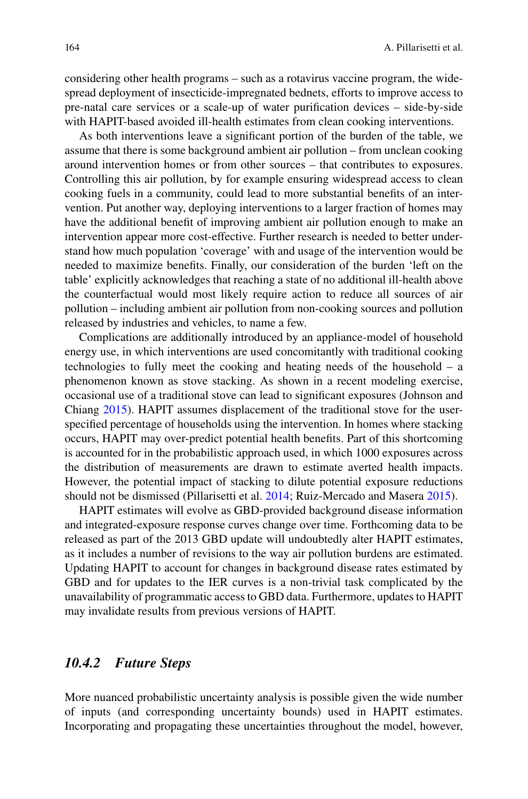considering other health programs – such as a rotavirus vaccine program, the widespread deployment of insecticide-impregnated bednets, efforts to improve access to pre-natal care services or a scale-up of water purification devices – side-by-side with HAPIT-based avoided ill-health estimates from clean cooking interventions.

As both interventions leave a significant portion of the burden of the table, we assume that there is some background ambient air pollution – from unclean cooking around intervention homes or from other sources – that contributes to exposures. Controlling this air pollution, by for example ensuring widespread access to clean cooking fuels in a community, could lead to more substantial benefits of an intervention. Put another way, deploying interventions to a larger fraction of homes may have the additional benefit of improving ambient air pollution enough to make an intervention appear more cost-effective. Further research is needed to better understand how much population 'coverage' with and usage of the intervention would be needed to maximize benefits. Finally, our consideration of the burden 'left on the table' explicitly acknowledges that reaching a state of no additional ill-health above the counterfactual would most likely require action to reduce all sources of air pollution – including ambient air pollution from non-cooking sources and pollution released by industries and vehicles, to name a few.

Complications are additionally introduced by an appliance-model of household energy use, in which interventions are used concomitantly with traditional cooking technologies to fully meet the cooking and heating needs of the household – a phenomenon known as stove stacking. As shown in a recent modeling exercise, occasional use of a traditional stove can lead to significant exposures (Johnson and Chiang [2015\)](#page-20-10). HAPIT assumes displacement of the traditional stove for the userspecified percentage of households using the intervention. In homes where stacking occurs, HAPIT may over-predict potential health benefits. Part of this shortcoming is accounted for in the probabilistic approach used, in which 1000 exposures across the distribution of measurements are drawn to estimate averted health impacts. However, the potential impact of stacking to dilute potential exposure reductions should not be dismissed (Pillarisetti et al. [2014](#page-21-4); Ruiz-Mercado and Masera [2015](#page-21-14)).

HAPIT estimates will evolve as GBD-provided background disease information and integrated-exposure response curves change over time. Forthcoming data to be released as part of the 2013 GBD update will undoubtedly alter HAPIT estimates, as it includes a number of revisions to the way air pollution burdens are estimated. Updating HAPIT to account for changes in background disease rates estimated by GBD and for updates to the IER curves is a non-trivial task complicated by the unavailability of programmatic access to GBD data. Furthermore, updates to HAPIT may invalidate results from previous versions of HAPIT.

#### *10.4.2 Future Steps*

More nuanced probabilistic uncertainty analysis is possible given the wide number of inputs (and corresponding uncertainty bounds) used in HAPIT estimates. Incorporating and propagating these uncertainties throughout the model, however,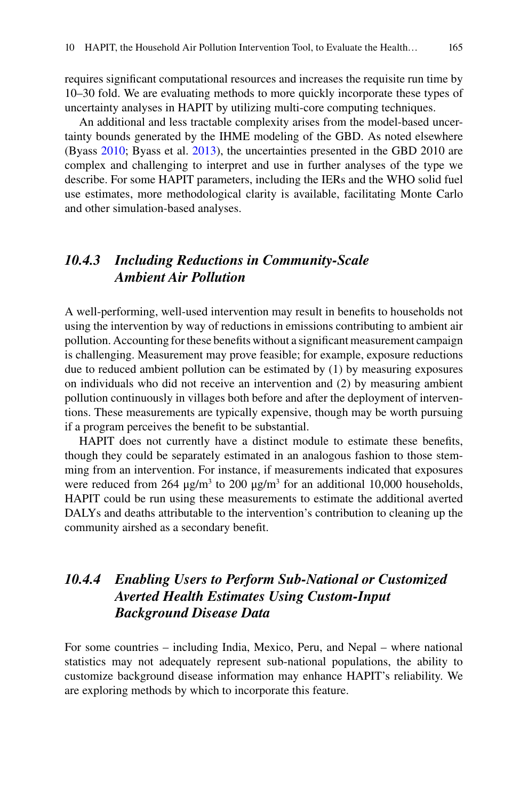requires significant computational resources and increases the requisite run time by 10–30 fold. We are evaluating methods to more quickly incorporate these types of uncertainty analyses in HAPIT by utilizing multi-core computing techniques.

An additional and less tractable complexity arises from the model-based uncertainty bounds generated by the IHME modeling of the GBD. As noted elsewhere (Byass [2010](#page-20-11); Byass et al. [2013](#page-20-12)), the uncertainties presented in the GBD 2010 are complex and challenging to interpret and use in further analyses of the type we describe. For some HAPIT parameters, including the IERs and the WHO solid fuel use estimates, more methodological clarity is available, facilitating Monte Carlo and other simulation-based analyses.

# *10.4.3 Including Reductions in Community-Scale Ambient Air Pollution*

A well-performing, well-used intervention may result in benefits to households not using the intervention by way of reductions in emissions contributing to ambient air pollution. Accounting for these benefits without a significant measurement campaign is challenging. Measurement may prove feasible; for example, exposure reductions due to reduced ambient pollution can be estimated by (1) by measuring exposures on individuals who did not receive an intervention and (2) by measuring ambient pollution continuously in villages both before and after the deployment of interventions. These measurements are typically expensive, though may be worth pursuing if a program perceives the benefit to be substantial.

HAPIT does not currently have a distinct module to estimate these benefits, though they could be separately estimated in an analogous fashion to those stemming from an intervention. For instance, if measurements indicated that exposures were reduced from 264  $\mu$ g/m<sup>3</sup> to 200  $\mu$ g/m<sup>3</sup> for an additional 10,000 households, HAPIT could be run using these measurements to estimate the additional averted DALYs and deaths attributable to the intervention's contribution to cleaning up the community airshed as a secondary benefit.

# *10.4.4 Enabling Users to Perform Sub-National or Customized Averted Health Estimates Using Custom-Input Background Disease Data*

For some countries – including India, Mexico, Peru, and Nepal – where national statistics may not adequately represent sub-national populations, the ability to customize background disease information may enhance HAPIT's reliability. We are exploring methods by which to incorporate this feature.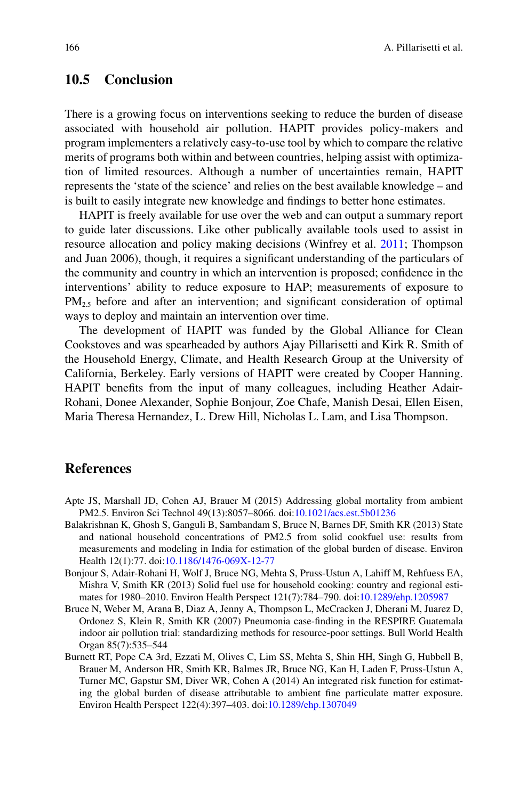## **10.5 Conclusion**

There is a growing focus on interventions seeking to reduce the burden of disease associated with household air pollution. HAPIT provides policy-makers and program implementers a relatively easy-to-use tool by which to compare the relative merits of programs both within and between countries, helping assist with optimization of limited resources. Although a number of uncertainties remain, HAPIT represents the 'state of the science' and relies on the best available knowledge – and is built to easily integrate new knowledge and findings to better hone estimates.

HAPIT is freely available for use over the web and can output a summary report to guide later discussions. Like other publically available tools used to assist in resource allocation and policy making decisions (Winfrey et al. [2011;](#page-22-8) Thompson and Juan 2006), though, it requires a significant understanding of the particulars of the community and country in which an intervention is proposed; confidence in the interventions' ability to reduce exposure to HAP; measurements of exposure to PM<sub>2.5</sub> before and after an intervention; and significant consideration of optimal ways to deploy and maintain an intervention over time.

The development of HAPIT was funded by the Global Alliance for Clean Cookstoves and was spearheaded by authors Ajay Pillarisetti and Kirk R. Smith of the Household Energy, Climate, and Health Research Group at the University of California, Berkeley. Early versions of HAPIT were created by Cooper Hanning. HAPIT benefits from the input of many colleagues, including Heather Adair-Rohani, Donee Alexander, Sophie Bonjour, Zoe Chafe, Manish Desai, Ellen Eisen, Maria Theresa Hernandez, L. Drew Hill, Nicholas L. Lam, and Lisa Thompson.

#### **References**

- <span id="page-19-3"></span>Apte JS, Marshall JD, Cohen AJ, Brauer M (2015) Addressing global mortality from ambient PM2.5. Environ Sci Technol 49(13):8057–8066. doi[:10.1021/acs.est.5b01236](http://dx.doi.org/10.1021/acs.est.5b01236)
- <span id="page-19-1"></span>Balakrishnan K, Ghosh S, Ganguli B, Sambandam S, Bruce N, Barnes DF, Smith KR (2013) State and national household concentrations of PM2.5 from solid cookfuel use: results from measurements and modeling in India for estimation of the global burden of disease. Environ Health 12(1):77. doi:[10.1186/1476-069X-12-77](http://dx.doi.org/10.1186/1476-069X-12-77)
- <span id="page-19-0"></span>Bonjour S, Adair-Rohani H, Wolf J, Bruce NG, Mehta S, Pruss-Ustun A, Lahiff M, Rehfuess EA, Mishra V, Smith KR (2013) Solid fuel use for household cooking: country and regional estimates for 1980–2010. Environ Health Perspect 121(7):784–790. doi[:10.1289/ehp.1205987](http://dx.doi.org/10.1289/ehp.1205987)
- <span id="page-19-4"></span>Bruce N, Weber M, Arana B, Diaz A, Jenny A, Thompson L, McCracken J, Dherani M, Juarez D, Ordonez S, Klein R, Smith KR (2007) Pneumonia case-finding in the RESPIRE Guatemala indoor air pollution trial: standardizing methods for resource-poor settings. Bull World Health Organ 85(7):535–544
- <span id="page-19-2"></span>Burnett RT, Pope CA 3rd, Ezzati M, Olives C, Lim SS, Mehta S, Shin HH, Singh G, Hubbell B, Brauer M, Anderson HR, Smith KR, Balmes JR, Bruce NG, Kan H, Laden F, Pruss-Ustun A, Turner MC, Gapstur SM, Diver WR, Cohen A (2014) An integrated risk function for estimating the global burden of disease attributable to ambient fine particulate matter exposure. Environ Health Perspect 122(4):397–403. doi[:10.1289/ehp.1307049](http://dx.doi.org/10.1289/ehp.1307049)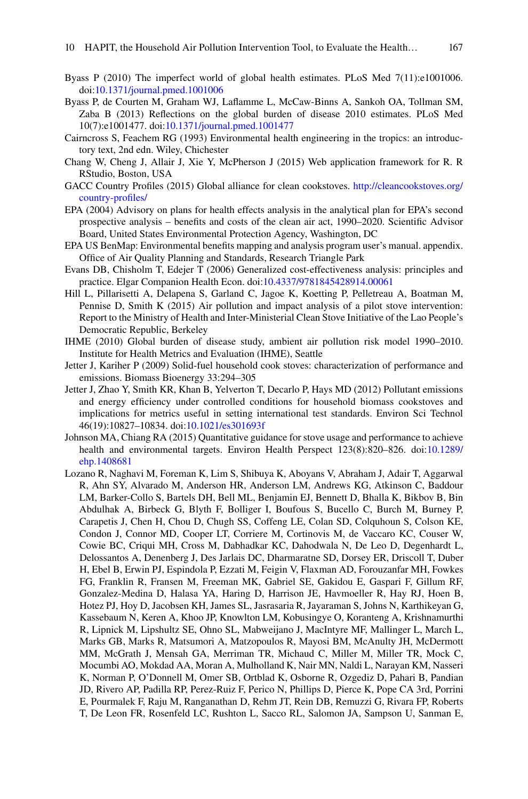- <span id="page-20-11"></span>Byass P (2010) The imperfect world of global health estimates. PLoS Med 7(11):e1001006. doi:[10.1371/journal.pmed.1001006](http://dx.doi.org/10.1371/journal.pmed.1001006)
- <span id="page-20-12"></span>Byass P, de Courten M, Graham WJ, Laflamme L, McCaw-Binns A, Sankoh OA, Tollman SM, Zaba B (2013) Reflections on the global burden of disease 2010 estimates. PLoS Med 10(7):e1001477. doi:[10.1371/journal.pmed.1001477](http://dx.doi.org/10.1371/journal.pmed.1001477)
- Cairncross S, Feachem RG (1993) Environmental health engineering in the tropics: an introductory text, 2nd edn. Wiley, Chichester
- <span id="page-20-9"></span>Chang W, Cheng J, Allair J, Xie Y, McPherson J (2015) Web application framework for R. R RStudio, Boston, USA
- <span id="page-20-2"></span>GACC Country Profiles (2015) Global alliance for clean cookstoves. [http://cleancookstoves.org/](http://cleancookstoves.org/country-profiles/) [country-profiles/](http://cleancookstoves.org/country-profiles/)
- <span id="page-20-7"></span>EPA (2004) Advisory on plans for health effects analysis in the analytical plan for EPA's second prospective analysis – benefits and costs of the clean air act, 1990–2020. Scientific Advisor Board, United States Environmental Protection Agency, Washington, DC
- <span id="page-20-1"></span>EPA US BenMap: Environmental benefits mapping and analysis program user's manual. appendix. Office of Air Quality Planning and Standards, Research Triangle Park
- <span id="page-20-3"></span>Evans DB, Chisholm T, Edejer T (2006) Generalized cost-effectiveness analysis: principles and practice. Elgar Companion Health Econ. doi[:10.4337/9781845428914.00061](http://dx.doi.org/10.4337/9781845428914.00061)
- <span id="page-20-8"></span>Hill L, Pillarisetti A, Delapena S, Garland C, Jagoe K, Koetting P, Pelletreau A, Boatman M, Pennise D, Smith K (2015) Air pollution and impact analysis of a pilot stove intervention: Report to the Ministry of Health and Inter-Ministerial Clean Stove Initiative of the Lao People's Democratic Republic, Berkeley
- <span id="page-20-6"></span>IHME (2010) Global burden of disease study, ambient air pollution risk model 1990–2010. Institute for Health Metrics and Evaluation (IHME), Seattle
- <span id="page-20-5"></span>Jetter J, Kariher P (2009) Solid-fuel household cook stoves: characterization of performance and emissions. Biomass Bioenergy 33:294–305
- <span id="page-20-4"></span>Jetter J, Zhao Y, Smith KR, Khan B, Yelverton T, Decarlo P, Hays MD (2012) Pollutant emissions and energy efficiency under controlled conditions for household biomass cookstoves and implications for metrics useful in setting international test standards. Environ Sci Technol 46(19):10827–10834. doi[:10.1021/es301693f](http://dx.doi.org/10.1021/es301693f)
- <span id="page-20-10"></span>Johnson MA, Chiang RA (2015) Quantitative guidance for stove usage and performance to achieve health and environmental targets. Environ Health Perspect 123(8):820–826. doi:[10.1289/](http://dx.doi.org/10.1289/ehp.1408681) [ehp.1408681](http://dx.doi.org/10.1289/ehp.1408681)
- <span id="page-20-0"></span>Lozano R, Naghavi M, Foreman K, Lim S, Shibuya K, Aboyans V, Abraham J, Adair T, Aggarwal R, Ahn SY, Alvarado M, Anderson HR, Anderson LM, Andrews KG, Atkinson C, Baddour LM, Barker-Collo S, Bartels DH, Bell ML, Benjamin EJ, Bennett D, Bhalla K, Bikbov B, Bin Abdulhak A, Birbeck G, Blyth F, Bolliger I, Boufous S, Bucello C, Burch M, Burney P, Carapetis J, Chen H, Chou D, Chugh SS, Coffeng LE, Colan SD, Colquhoun S, Colson KE, Condon J, Connor MD, Cooper LT, Corriere M, Cortinovis M, de Vaccaro KC, Couser W, Cowie BC, Criqui MH, Cross M, Dabhadkar KC, Dahodwala N, De Leo D, Degenhardt L, Delossantos A, Denenberg J, Des Jarlais DC, Dharmaratne SD, Dorsey ER, Driscoll T, Duber H, Ebel B, Erwin PJ, Espindola P, Ezzati M, Feigin V, Flaxman AD, Forouzanfar MH, Fowkes FG, Franklin R, Fransen M, Freeman MK, Gabriel SE, Gakidou E, Gaspari F, Gillum RF, Gonzalez-Medina D, Halasa YA, Haring D, Harrison JE, Havmoeller R, Hay RJ, Hoen B, Hotez PJ, Hoy D, Jacobsen KH, James SL, Jasrasaria R, Jayaraman S, Johns N, Karthikeyan G, Kassebaum N, Keren A, Khoo JP, Knowlton LM, Kobusingye O, Koranteng A, Krishnamurthi R, Lipnick M, Lipshultz SE, Ohno SL, Mabweijano J, MacIntyre MF, Mallinger L, March L, Marks GB, Marks R, Matsumori A, Matzopoulos R, Mayosi BM, McAnulty JH, McDermott MM, McGrath J, Mensah GA, Merriman TR, Michaud C, Miller M, Miller TR, Mock C, Mocumbi AO, Mokdad AA, Moran A, Mulholland K, Nair MN, Naldi L, Narayan KM, Nasseri K, Norman P, O'Donnell M, Omer SB, Ortblad K, Osborne R, Ozgediz D, Pahari B, Pandian JD, Rivero AP, Padilla RP, Perez-Ruiz F, Perico N, Phillips D, Pierce K, Pope CA 3rd, Porrini E, Pourmalek F, Raju M, Ranganathan D, Rehm JT, Rein DB, Remuzzi G, Rivara FP, Roberts T, De Leon FR, Rosenfeld LC, Rushton L, Sacco RL, Salomon JA, Sampson U, Sanman E,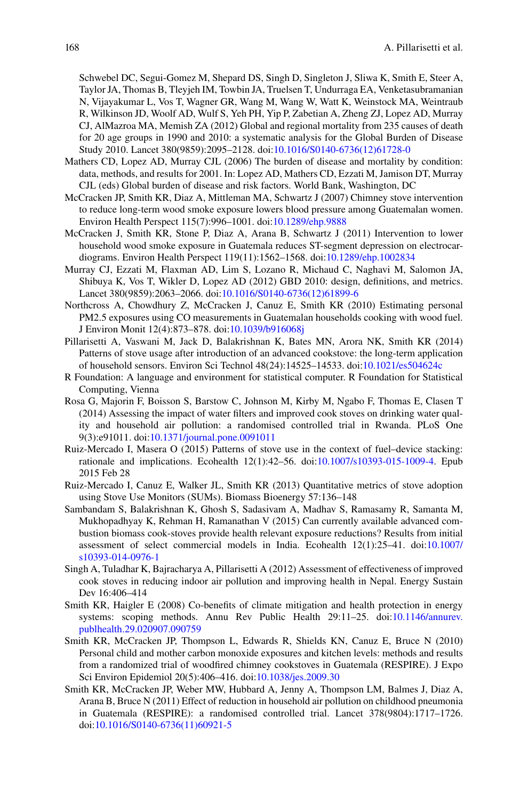Schwebel DC, Segui-Gomez M, Shepard DS, Singh D, Singleton J, Sliwa K, Smith E, Steer A, Taylor JA, Thomas B, Tleyjeh IM, Towbin JA, Truelsen T, Undurraga EA, Venketasubramanian N, Vijayakumar L, Vos T, Wagner GR, Wang M, Wang W, Watt K, Weinstock MA, Weintraub R, Wilkinson JD, Woolf AD, Wulf S, Yeh PH, Yip P, Zabetian A, Zheng ZJ, Lopez AD, Murray CJ, AlMazroa MA, Memish ZA (2012) Global and regional mortality from 235 causes of death for 20 age groups in 1990 and 2010: a systematic analysis for the Global Burden of Disease Study 2010. Lancet 380(9859):2095–2128. doi:[10.1016/S0140-6736\(12\)61728-0](http://dx.doi.org/10.1016/S0140-6736(12)61728-0)

- <span id="page-21-6"></span>Mathers CD, Lopez AD, Murray CJL (2006) The burden of disease and mortality by condition: data, methods, and results for 2001. In: Lopez AD, Mathers CD, Ezzati M, Jamison DT, Murray CJL (eds) Global burden of disease and risk factors. World Bank, Washington, DC
- <span id="page-21-10"></span>McCracken JP, Smith KR, Diaz A, Mittleman MA, Schwartz J (2007) Chimney stove intervention to reduce long-term wood smoke exposure lowers blood pressure among Guatemalan women. Environ Health Perspect 115(7):996–1001. doi[:10.1289/ehp.9888](http://dx.doi.org/10.1289/ehp.9888)
- <span id="page-21-11"></span>McCracken J, Smith KR, Stone P, Diaz A, Arana B, Schwartz J (2011) Intervention to lower household wood smoke exposure in Guatemala reduces ST-segment depression on electrocardiograms. Environ Health Perspect 119(11):1562–1568. doi:[10.1289/ehp.1002834](http://dx.doi.org/10.1289/ehp.1002834)
- <span id="page-21-7"></span>Murray CJ, Ezzati M, Flaxman AD, Lim S, Lozano R, Michaud C, Naghavi M, Salomon JA, Shibuya K, Vos T, Wikler D, Lopez AD (2012) GBD 2010: design, definitions, and metrics. Lancet 380(9859):2063–2066. doi:[10.1016/S0140-6736\(12\)61899-6](http://dx.doi.org/10.1016/S0140-6736(12)61899-6)
- <span id="page-21-12"></span>Northcross A, Chowdhury Z, McCracken J, Canuz E, Smith KR (2010) Estimating personal PM2.5 exposures using CO measurements in Guatemalan households cooking with wood fuel. J Environ Monit 12(4):873–878. doi[:10.1039/b916068j](http://dx.doi.org/10.1039/b916068j)
- <span id="page-21-4"></span>Pillarisetti A, Vaswani M, Jack D, Balakrishnan K, Bates MN, Arora NK, Smith KR (2014) Patterns of stove usage after introduction of an advanced cookstove: the long-term application of household sensors. Environ Sci Technol 48(24):14525–14533. doi[:10.1021/es504624c](http://dx.doi.org/10.1021/es504624c)
- <span id="page-21-8"></span>R Foundation: A language and environment for statistical computer. R Foundation for Statistical Computing, Vienna
- <span id="page-21-2"></span>Rosa G, Majorin F, Boisson S, Barstow C, Johnson M, Kirby M, Ngabo F, Thomas E, Clasen T (2014) Assessing the impact of water filters and improved cook stoves on drinking water quality and household air pollution: a randomised controlled trial in Rwanda. PLoS One 9(3):e91011. doi:[10.1371/journal.pone.0091011](http://dx.doi.org/10.1371/journal.pone.0091011)
- <span id="page-21-14"></span>Ruiz-Mercado I, Masera O (2015) Patterns of stove use in the context of fuel–device stacking: rationale and implications. Ecohealth 12(1):42–56. doi[:10.1007/s10393-015-1009-4](http://dx.doi.org/10.1007/s10393-015-1009-4). Epub 2015 Feb 28
- <span id="page-21-13"></span>Ruiz-Mercado I, Canuz E, Walker JL, Smith KR (2013) Quantitative metrics of stove adoption using Stove Use Monitors (SUMs). Biomass Bioenergy 57:136–148
- <span id="page-21-3"></span>Sambandam S, Balakrishnan K, Ghosh S, Sadasivam A, Madhav S, Ramasamy R, Samanta M, Mukhopadhyay K, Rehman H, Ramanathan V (2015) Can currently available advanced combustion biomass cook-stoves provide health relevant exposure reductions? Results from initial assessment of select commercial models in India. Ecohealth 12(1):25–41. doi:[10.1007/](http://dx.doi.org/10.1007/s10393-014-0976-1) [s10393-014-0976-1](http://dx.doi.org/10.1007/s10393-014-0976-1)
- <span id="page-21-0"></span>Singh A, Tuladhar K, Bajracharya A, Pillarisetti A (2012) Assessment of effectiveness of improved cook stoves in reducing indoor air pollution and improving health in Nepal. Energy Sustain Dev 16:406–414
- <span id="page-21-5"></span>Smith KR, Haigler E (2008) Co-benefits of climate mitigation and health protection in energy systems: scoping methods. Annu Rev Public Health 29:11–25. doi:[10.1146/annurev.](http://dx.doi.org/10.1146/annurev.publhealth.29.020907.090759) [publhealth.29.020907.090759](http://dx.doi.org/10.1146/annurev.publhealth.29.020907.090759)
- <span id="page-21-1"></span>Smith KR, McCracken JP, Thompson L, Edwards R, Shields KN, Canuz E, Bruce N (2010) Personal child and mother carbon monoxide exposures and kitchen levels: methods and results from a randomized trial of woodfired chimney cookstoves in Guatemala (RESPIRE). J Expo Sci Environ Epidemiol 20(5):406–416. doi:[10.1038/jes.2009.30](http://dx.doi.org/10.1038/jes.2009.30)
- <span id="page-21-9"></span>Smith KR, McCracken JP, Weber MW, Hubbard A, Jenny A, Thompson LM, Balmes J, Diaz A, Arana B, Bruce N (2011) Effect of reduction in household air pollution on childhood pneumonia in Guatemala (RESPIRE): a randomised controlled trial. Lancet 378(9804):1717–1726. doi:[10.1016/S0140-6736\(11\)60921-5](http://dx.doi.org/10.1016/S0140-6736(11)60921-5)